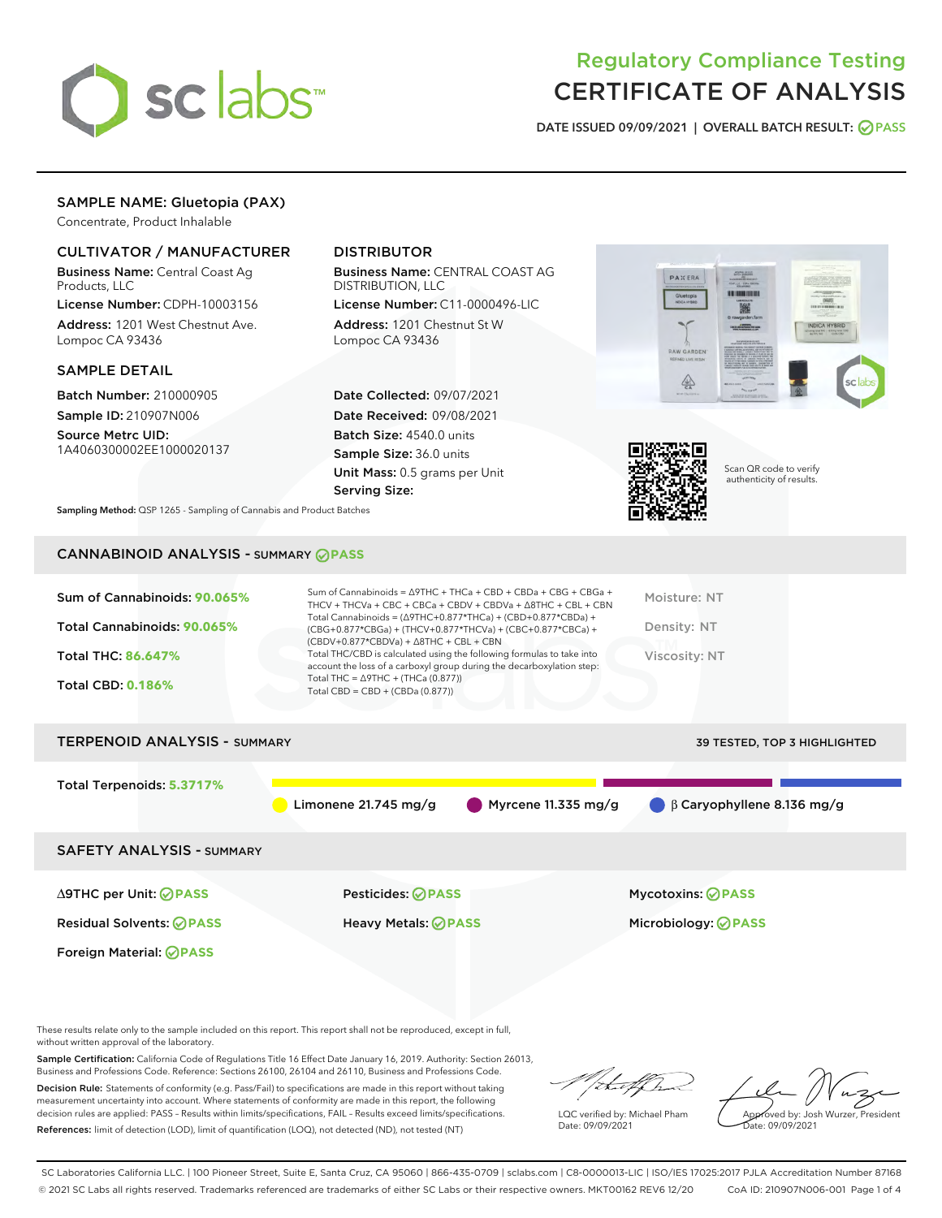

# Regulatory Compliance Testing CERTIFICATE OF ANALYSIS

DATE ISSUED 09/09/2021 | OVERALL BATCH RESULT: @ PASS

# SAMPLE NAME: Gluetopia (PAX)

Concentrate, Product Inhalable

# CULTIVATOR / MANUFACTURER

Business Name: Central Coast Ag Products, LLC

License Number: CDPH-10003156 Address: 1201 West Chestnut Ave. Lompoc CA 93436

#### SAMPLE DETAIL

Batch Number: 210000905 Sample ID: 210907N006

Source Metrc UID: 1A4060300002EE1000020137

# DISTRIBUTOR

Business Name: CENTRAL COAST AG DISTRIBUTION, LLC

License Number: C11-0000496-LIC Address: 1201 Chestnut St W Lompoc CA 93436

Date Collected: 09/07/2021 Date Received: 09/08/2021 Batch Size: 4540.0 units Sample Size: 36.0 units Unit Mass: 0.5 grams per Unit Serving Size:





Scan QR code to verify authenticity of results.

Sampling Method: QSP 1265 - Sampling of Cannabis and Product Batches

# CANNABINOID ANALYSIS - SUMMARY **PASS**

| Sum of Cannabinoids: 90.065%<br>Total Cannabinoids: 90.065%<br><b>Total THC: 86.647%</b><br><b>Total CBD: 0.186%</b> | Sum of Cannabinoids = $\triangle$ 9THC + THCa + CBD + CBDa + CBG + CBGa +<br>THCV + THCVa + CBC + CBCa + CBDV + CBDVa + $\land$ 8THC + CBL + CBN<br>Total Cannabinoids = $(\Delta$ 9THC+0.877*THCa) + (CBD+0.877*CBDa) +<br>(CBG+0.877*CBGa) + (THCV+0.877*THCVa) + (CBC+0.877*CBCa) +<br>$(CBDV+0.877*CBDVa) + \Delta 8THC + CBL + CBN$<br>Total THC/CBD is calculated using the following formulas to take into<br>account the loss of a carboxyl group during the decarboxylation step:<br>Total THC = $\triangle$ 9THC + (THCa (0.877))<br>Total CBD = $CBD + (CBDa (0.877))$ | Moisture: NT<br>Density: NT<br>Viscosity: NT |
|----------------------------------------------------------------------------------------------------------------------|-----------------------------------------------------------------------------------------------------------------------------------------------------------------------------------------------------------------------------------------------------------------------------------------------------------------------------------------------------------------------------------------------------------------------------------------------------------------------------------------------------------------------------------------------------------------------------------|----------------------------------------------|
| <b>TERPENOID ANALYSIS - SUMMARY</b>                                                                                  |                                                                                                                                                                                                                                                                                                                                                                                                                                                                                                                                                                                   | 39 TESTED, TOP 3 HIGHLIGHTED                 |
| Total Terpenoids: 5.3717%                                                                                            | Limonene 21.745 mg/g<br>Myrcene 11.335 mg/g                                                                                                                                                                                                                                                                                                                                                                                                                                                                                                                                       | $\beta$ Caryophyllene 8.136 mg/g             |
| <b>SAFETY ANALYSIS - SUMMARY</b>                                                                                     |                                                                                                                                                                                                                                                                                                                                                                                                                                                                                                                                                                                   |                                              |
| $\triangle$ 9THC per Unit: $\bigcirc$ PASS                                                                           | <b>Pesticides: ⊘PASS</b>                                                                                                                                                                                                                                                                                                                                                                                                                                                                                                                                                          | Mycotoxins: ⊘PASS                            |
| <b>Residual Solvents: ⊘PASS</b>                                                                                      | Heavy Metals: <b>OPASS</b>                                                                                                                                                                                                                                                                                                                                                                                                                                                                                                                                                        | Microbiology: <b>OPASS</b>                   |
| Foreign Material: ⊘PASS                                                                                              |                                                                                                                                                                                                                                                                                                                                                                                                                                                                                                                                                                                   |                                              |

These results relate only to the sample included on this report. This report shall not be reproduced, except in full, without written approval of the laboratory.

Sample Certification: California Code of Regulations Title 16 Effect Date January 16, 2019. Authority: Section 26013, Business and Professions Code. Reference: Sections 26100, 26104 and 26110, Business and Professions Code.

Decision Rule: Statements of conformity (e.g. Pass/Fail) to specifications are made in this report without taking measurement uncertainty into account. Where statements of conformity are made in this report, the following decision rules are applied: PASS – Results within limits/specifications, FAIL – Results exceed limits/specifications. References: limit of detection (LOD), limit of quantification (LOQ), not detected (ND), not tested (NT)

that f h

LQC verified by: Michael Pham Date: 09/09/2021

Approved by: Josh Wurzer, President Date: 09/09/2021

SC Laboratories California LLC. | 100 Pioneer Street, Suite E, Santa Cruz, CA 95060 | 866-435-0709 | sclabs.com | C8-0000013-LIC | ISO/IES 17025:2017 PJLA Accreditation Number 87168 © 2021 SC Labs all rights reserved. Trademarks referenced are trademarks of either SC Labs or their respective owners. MKT00162 REV6 12/20 CoA ID: 210907N006-001 Page 1 of 4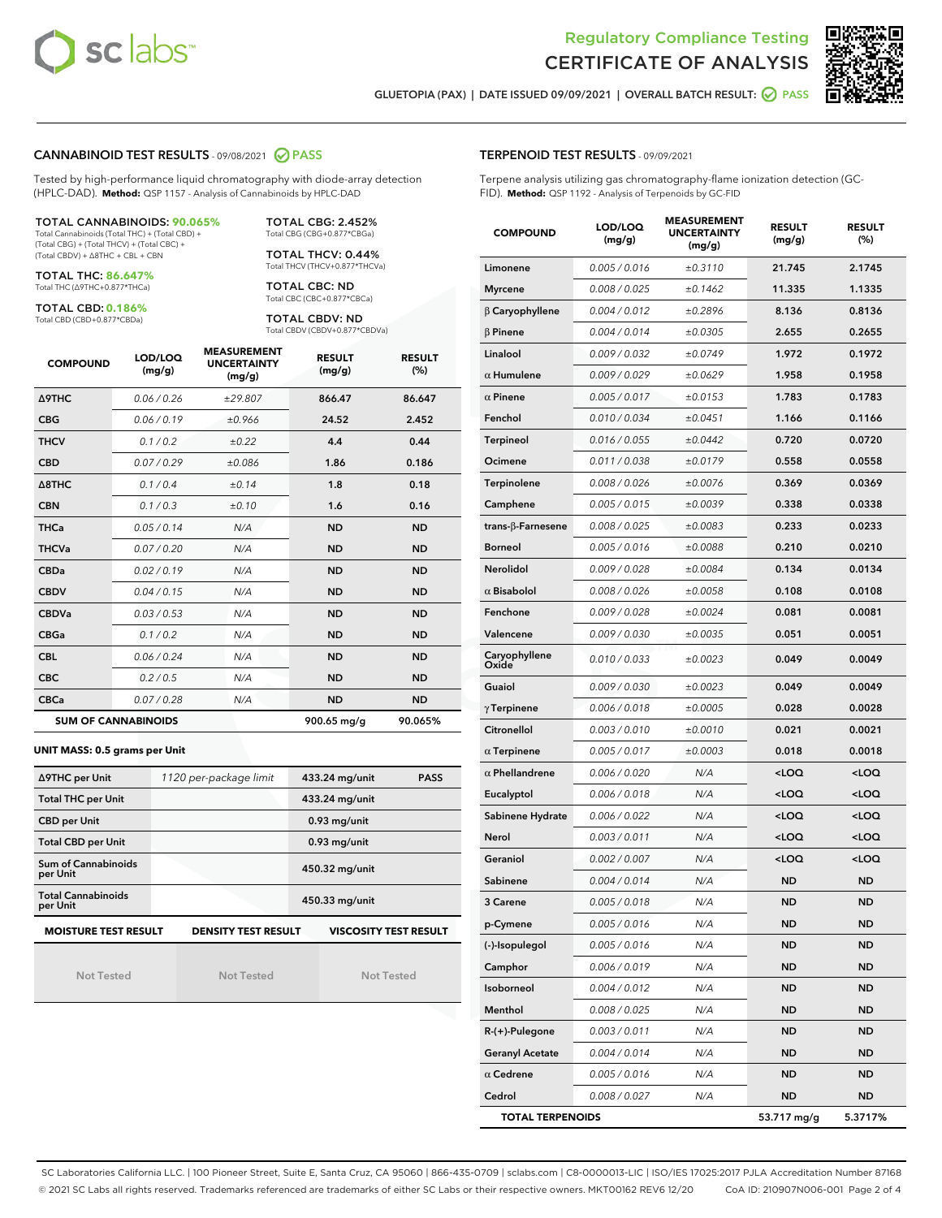



GLUETOPIA (PAX) | DATE ISSUED 09/09/2021 | OVERALL BATCH RESULT: @ PASS

#### CANNABINOID TEST RESULTS - 09/08/2021 2 PASS

Tested by high-performance liquid chromatography with diode-array detection (HPLC-DAD). **Method:** QSP 1157 - Analysis of Cannabinoids by HPLC-DAD

#### TOTAL CANNABINOIDS: **90.065%**

Total Cannabinoids (Total THC) + (Total CBD) + (Total CBG) + (Total THCV) + (Total CBC) + (Total CBDV) + ∆8THC + CBL + CBN

TOTAL THC: **86.647%** Total THC (∆9THC+0.877\*THCa)

TOTAL CBD: **0.186%**

Total CBD (CBD+0.877\*CBDa)

TOTAL CBG: 2.452% Total CBG (CBG+0.877\*CBGa)

TOTAL THCV: 0.44% Total THCV (THCV+0.877\*THCVa)

TOTAL CBC: ND Total CBC (CBC+0.877\*CBCa)

TOTAL CBDV: ND Total CBDV (CBDV+0.877\*CBDVa)

| <b>COMPOUND</b>  | LOD/LOQ<br>(mg/g)          | <b>MEASUREMENT</b><br><b>UNCERTAINTY</b><br>(mg/g) | <b>RESULT</b><br>(mg/g) | <b>RESULT</b><br>(%) |
|------------------|----------------------------|----------------------------------------------------|-------------------------|----------------------|
| Δ9THC            | 0.06 / 0.26                | ±29.807                                            | 866.47                  | 86.647               |
| <b>CBG</b>       | 0.06/0.19                  | ±0.966                                             | 24.52                   | 2.452                |
| <b>THCV</b>      | 0.1 / 0.2                  | ±0.22                                              | 4.4                     | 0.44                 |
| <b>CBD</b>       | 0.07/0.29                  | ±0.086                                             | 1.86                    | 0.186                |
| $\triangle$ 8THC | 0.1 / 0.4                  | ±0.14                                              | 1.8                     | 0.18                 |
| <b>CBN</b>       | 0.1/0.3                    | ±0.10                                              | 1.6                     | 0.16                 |
| <b>THCa</b>      | 0.05/0.14                  | N/A                                                | <b>ND</b>               | <b>ND</b>            |
| <b>THCVa</b>     | 0.07/0.20                  | N/A                                                | <b>ND</b>               | <b>ND</b>            |
| <b>CBDa</b>      | 0.02/0.19                  | N/A                                                | <b>ND</b>               | <b>ND</b>            |
| <b>CBDV</b>      | 0.04 / 0.15                | N/A                                                | <b>ND</b>               | <b>ND</b>            |
| <b>CBDVa</b>     | 0.03/0.53                  | N/A                                                | <b>ND</b>               | <b>ND</b>            |
| <b>CBGa</b>      | 0.1/0.2                    | N/A                                                | <b>ND</b>               | <b>ND</b>            |
| <b>CBL</b>       | 0.06 / 0.24                | N/A                                                | <b>ND</b>               | <b>ND</b>            |
| <b>CBC</b>       | 0.2 / 0.5                  | N/A                                                | <b>ND</b>               | <b>ND</b>            |
| <b>CBCa</b>      | 0.07/0.28                  | N/A                                                | <b>ND</b>               | <b>ND</b>            |
|                  | <b>SUM OF CANNABINOIDS</b> |                                                    | 900.65 mg/g             | 90.065%              |

#### **UNIT MASS: 0.5 grams per Unit**

| ∆9THC per Unit                                                                            | 1120 per-package limit | 433.24 mg/unit<br><b>PASS</b> |  |  |  |  |
|-------------------------------------------------------------------------------------------|------------------------|-------------------------------|--|--|--|--|
| <b>Total THC per Unit</b>                                                                 |                        | 433.24 mg/unit                |  |  |  |  |
| <b>CBD per Unit</b>                                                                       |                        | $0.93$ mg/unit                |  |  |  |  |
| <b>Total CBD per Unit</b>                                                                 |                        | $0.93$ mg/unit                |  |  |  |  |
| Sum of Cannabinoids<br>per Unit                                                           |                        | 450.32 mg/unit                |  |  |  |  |
| <b>Total Cannabinoids</b><br>per Unit                                                     |                        | 450.33 mg/unit                |  |  |  |  |
| <b>MOISTURE TEST RESULT</b><br><b>DENSITY TEST RESULT</b><br><b>VISCOSITY TEST RESULT</b> |                        |                               |  |  |  |  |

Not Tested

Not Tested

Not Tested

#### TERPENOID TEST RESULTS - 09/09/2021

Terpene analysis utilizing gas chromatography-flame ionization detection (GC-FID). **Method:** QSP 1192 - Analysis of Terpenoids by GC-FID

| <b>COMPOUND</b>          | LOD/LOQ<br>(mg/g) | <b>MEASUREMENT</b><br><b>UNCERTAINTY</b><br>(mg/g) | <b>RESULT</b><br>(mg/g)                         | <b>RESULT</b><br>$(\%)$ |
|--------------------------|-------------------|----------------------------------------------------|-------------------------------------------------|-------------------------|
| Limonene                 | 0.005 / 0.016     | ±0.3110                                            | 21.745                                          | 2.1745                  |
| <b>Myrcene</b>           | 0.008 / 0.025     | ±0.1462                                            | 11.335                                          | 1.1335                  |
| β Caryophyllene          | 0.004 / 0.012     | ±0.2896                                            | 8.136                                           | 0.8136                  |
| $\beta$ Pinene           | 0.004 / 0.014     | ±0.0305                                            | 2.655                                           | 0.2655                  |
| Linalool                 | 0.009 / 0.032     | ±0.0749                                            | 1.972                                           | 0.1972                  |
| $\alpha$ Humulene        | 0.009/0.029       | ±0.0629                                            | 1.958                                           | 0.1958                  |
| $\alpha$ Pinene          | 0.005 / 0.017     | ±0.0153                                            | 1.783                                           | 0.1783                  |
| Fenchol                  | 0.010 / 0.034     | ±0.0451                                            | 1.166                                           | 0.1166                  |
| Terpineol                | 0.016 / 0.055     | ±0.0442                                            | 0.720                                           | 0.0720                  |
| Ocimene                  | 0.011 / 0.038     | ±0.0179                                            | 0.558                                           | 0.0558                  |
| <b>Terpinolene</b>       | 0.008 / 0.026     | ±0.0076                                            | 0.369                                           | 0.0369                  |
| Camphene                 | 0.005 / 0.015     | ±0.0039                                            | 0.338                                           | 0.0338                  |
| $trans-\beta$ -Farnesene | 0.008 / 0.025     | ±0.0083                                            | 0.233                                           | 0.0233                  |
| <b>Borneol</b>           | 0.005 / 0.016     | ±0.0088                                            | 0.210                                           | 0.0210                  |
| Nerolidol                | 0.009 / 0.028     | ±0.0084                                            | 0.134                                           | 0.0134                  |
| $\alpha$ Bisabolol       | 0.008 / 0.026     | ±0.0058                                            | 0.108                                           | 0.0108                  |
| Fenchone                 | 0.009 / 0.028     | ±0.0024                                            | 0.081                                           | 0.0081                  |
| Valencene                | 0.009 / 0.030     | ±0.0035                                            | 0.051                                           | 0.0051                  |
| Caryophyllene<br>Oxide   | 0.010 / 0.033     | ±0.0023                                            | 0.049                                           | 0.0049                  |
| Guaiol                   | 0.009 / 0.030     | ±0.0023                                            | 0.049                                           | 0.0049                  |
| $\gamma$ Terpinene       | 0.006 / 0.018     | ±0.0005                                            | 0.028                                           | 0.0028                  |
| Citronellol              | 0.003 / 0.010     | ±0.0010                                            | 0.021                                           | 0.0021                  |
| $\alpha$ Terpinene       | 0.005 / 0.017     | ±0.0003                                            | 0.018                                           | 0.0018                  |
| $\alpha$ Phellandrene    | 0.006 / 0.020     | N/A                                                | <loq< th=""><th><loq< th=""></loq<></th></loq<> | <loq< th=""></loq<>     |
| Eucalyptol               | 0.006 / 0.018     | N/A                                                | <loq< th=""><th><loq< th=""></loq<></th></loq<> | <loq< th=""></loq<>     |
| Sabinene Hydrate         | 0.006 / 0.022     | N/A                                                | <loq< th=""><th><loq< th=""></loq<></th></loq<> | <loq< th=""></loq<>     |
| Nerol                    | 0.003 / 0.011     | N/A                                                | <loq< th=""><th><loq< th=""></loq<></th></loq<> | <loq< th=""></loq<>     |
| Geraniol                 | 0.002 / 0.007     | N/A                                                | <loq< th=""><th><loq< th=""></loq<></th></loq<> | <loq< th=""></loq<>     |
| Sabinene                 | 0.004 / 0.014     | N/A                                                | <b>ND</b>                                       | <b>ND</b>               |
| 3 Carene                 | 0.005 / 0.018     | N/A                                                | <b>ND</b>                                       | <b>ND</b>               |
| p-Cymene                 | 0.005 / 0.016     | N/A                                                | ND                                              | ND                      |
| (-)-Isopulegol           | 0.005 / 0.016     | N/A                                                | ND                                              | <b>ND</b>               |
| Camphor                  | 0.006 / 0.019     | N/A                                                | <b>ND</b>                                       | <b>ND</b>               |
| Isoborneol               | 0.004 / 0.012     | N/A                                                | ND                                              | ND                      |
| Menthol                  | 0.008 / 0.025     | N/A                                                | ND                                              | ND                      |
| R-(+)-Pulegone           | 0.003 / 0.011     | N/A                                                | <b>ND</b>                                       | ND                      |
| <b>Geranyl Acetate</b>   | 0.004 / 0.014     | N/A                                                | ND                                              | ND                      |
| $\alpha$ Cedrene         | 0.005 / 0.016     | N/A                                                | ND                                              | ND                      |
| Cedrol                   | 0.008 / 0.027     | N/A                                                | <b>ND</b>                                       | <b>ND</b>               |
| <b>TOTAL TERPENOIDS</b>  |                   |                                                    | 53.717 mg/g                                     | 5.3717%                 |

SC Laboratories California LLC. | 100 Pioneer Street, Suite E, Santa Cruz, CA 95060 | 866-435-0709 | sclabs.com | C8-0000013-LIC | ISO/IES 17025:2017 PJLA Accreditation Number 87168 © 2021 SC Labs all rights reserved. Trademarks referenced are trademarks of either SC Labs or their respective owners. MKT00162 REV6 12/20 CoA ID: 210907N006-001 Page 2 of 4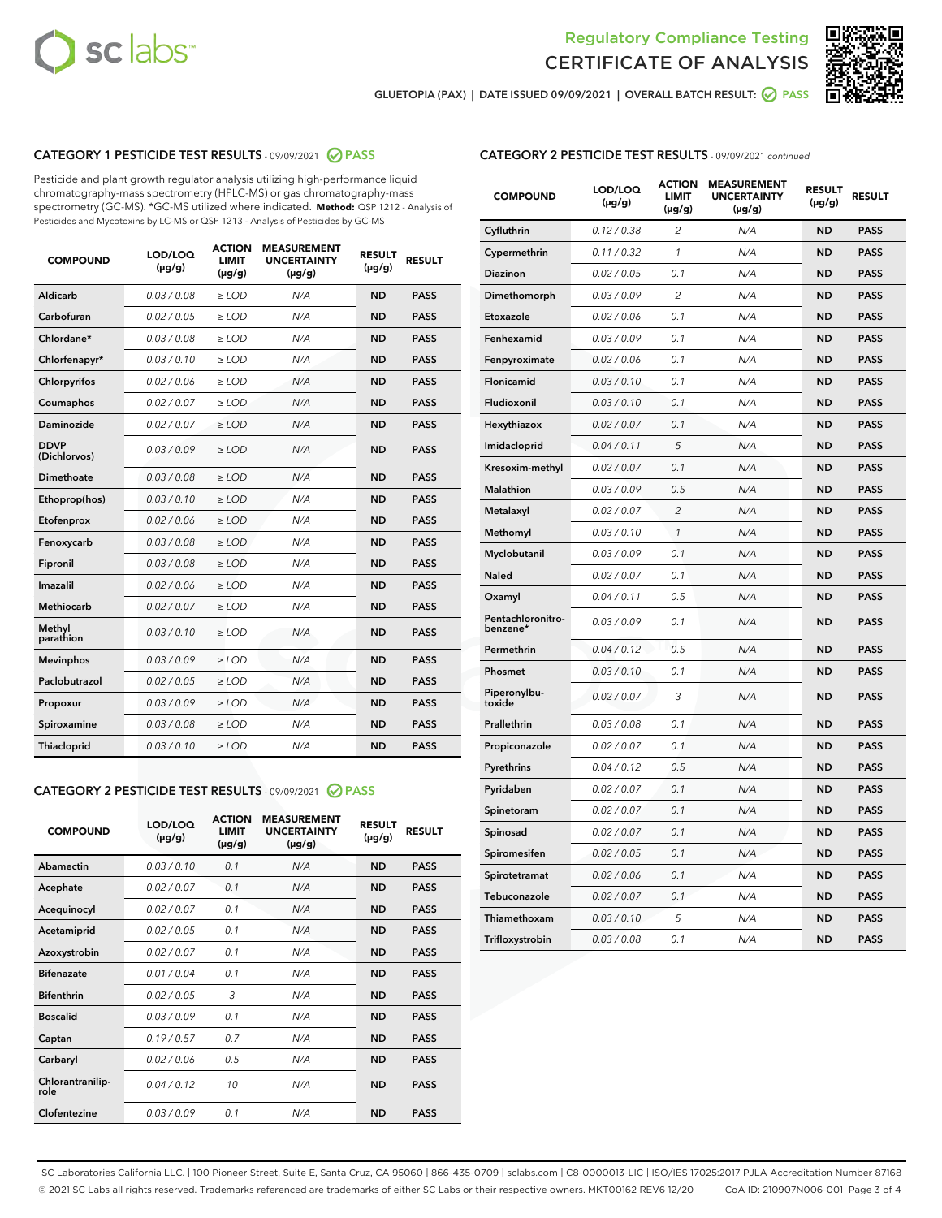



GLUETOPIA (PAX) | DATE ISSUED 09/09/2021 | OVERALL BATCH RESULT: 2 PASS

# CATEGORY 1 PESTICIDE TEST RESULTS - 09/09/2021 2 PASS

Pesticide and plant growth regulator analysis utilizing high-performance liquid chromatography-mass spectrometry (HPLC-MS) or gas chromatography-mass spectrometry (GC-MS). \*GC-MS utilized where indicated. **Method:** QSP 1212 - Analysis of Pesticides and Mycotoxins by LC-MS or QSP 1213 - Analysis of Pesticides by GC-MS

| <b>COMPOUND</b>             | LOD/LOQ<br>$(\mu g/g)$ | <b>ACTION</b><br><b>LIMIT</b><br>$(\mu g/g)$ | <b>MEASUREMENT</b><br><b>UNCERTAINTY</b><br>$(\mu g/g)$ | <b>RESULT</b><br>$(\mu g/g)$ | <b>RESULT</b> |
|-----------------------------|------------------------|----------------------------------------------|---------------------------------------------------------|------------------------------|---------------|
| Aldicarb                    | 0.03/0.08              | $>$ LOD                                      | N/A                                                     | <b>ND</b>                    | <b>PASS</b>   |
| Carbofuran                  | 0.02 / 0.05            | $\ge$ LOD                                    | N/A                                                     | <b>ND</b>                    | <b>PASS</b>   |
| Chlordane*                  | 0.03/0.08              | $>$ LOD                                      | N/A                                                     | <b>ND</b>                    | <b>PASS</b>   |
| Chlorfenapyr*               | 0.03/0.10              | $\ge$ LOD                                    | N/A                                                     | <b>ND</b>                    | <b>PASS</b>   |
| Chlorpyrifos                | 0.02 / 0.06            | $\ge$ LOD                                    | N/A                                                     | <b>ND</b>                    | <b>PASS</b>   |
| Coumaphos                   | 0.02 / 0.07            | $\ge$ LOD                                    | N/A                                                     | <b>ND</b>                    | <b>PASS</b>   |
| Daminozide                  | 0.02 / 0.07            | $\ge$ LOD                                    | N/A                                                     | <b>ND</b>                    | <b>PASS</b>   |
| <b>DDVP</b><br>(Dichlorvos) | 0.03/0.09              | $\ge$ LOD                                    | N/A                                                     | <b>ND</b>                    | <b>PASS</b>   |
| <b>Dimethoate</b>           | 0.03/0.08              | $\ge$ LOD                                    | N/A                                                     | <b>ND</b>                    | <b>PASS</b>   |
| Ethoprop(hos)               | 0.03/0.10              | $\ge$ LOD                                    | N/A                                                     | <b>ND</b>                    | <b>PASS</b>   |
| Etofenprox                  | 0.02 / 0.06            | $\ge$ LOD                                    | N/A                                                     | <b>ND</b>                    | <b>PASS</b>   |
| Fenoxycarb                  | 0.03/0.08              | $\ge$ LOD                                    | N/A                                                     | <b>ND</b>                    | <b>PASS</b>   |
| Fipronil                    | 0.03/0.08              | $>$ LOD                                      | N/A                                                     | <b>ND</b>                    | <b>PASS</b>   |
| Imazalil                    | 0.02 / 0.06            | $>$ LOD                                      | N/A                                                     | <b>ND</b>                    | <b>PASS</b>   |
| <b>Methiocarb</b>           | 0.02 / 0.07            | $\ge$ LOD                                    | N/A                                                     | <b>ND</b>                    | <b>PASS</b>   |
| Methyl<br>parathion         | 0.03/0.10              | $\ge$ LOD                                    | N/A                                                     | <b>ND</b>                    | <b>PASS</b>   |
| <b>Mevinphos</b>            | 0.03/0.09              | $\ge$ LOD                                    | N/A                                                     | <b>ND</b>                    | <b>PASS</b>   |
| Paclobutrazol               | 0.02 / 0.05            | $>$ LOD                                      | N/A                                                     | <b>ND</b>                    | <b>PASS</b>   |
| Propoxur                    | 0.03/0.09              | $\ge$ LOD                                    | N/A                                                     | <b>ND</b>                    | <b>PASS</b>   |
| Spiroxamine                 | 0.03 / 0.08            | $\ge$ LOD                                    | N/A                                                     | <b>ND</b>                    | <b>PASS</b>   |
| Thiacloprid                 | 0.03/0.10              | $\ge$ LOD                                    | N/A                                                     | <b>ND</b>                    | <b>PASS</b>   |

#### CATEGORY 2 PESTICIDE TEST RESULTS - 09/09/2021 @ PASS

| <b>COMPOUND</b>          | LOD/LOO<br>$(\mu g/g)$ | <b>ACTION</b><br>LIMIT<br>$(\mu g/g)$ | <b>MEASUREMENT</b><br><b>UNCERTAINTY</b><br>$(\mu g/g)$ | <b>RESULT</b><br>$(\mu g/g)$ | <b>RESULT</b> |  |
|--------------------------|------------------------|---------------------------------------|---------------------------------------------------------|------------------------------|---------------|--|
| Abamectin                | 0.03/0.10              | 0.1                                   | N/A                                                     | <b>ND</b>                    | <b>PASS</b>   |  |
| Acephate                 | 0.02/0.07              | 0.1                                   | N/A                                                     | <b>ND</b>                    | <b>PASS</b>   |  |
| Acequinocyl              | 0.02/0.07              | 0.1                                   | N/A                                                     | <b>ND</b>                    | <b>PASS</b>   |  |
| Acetamiprid              | 0.02 / 0.05            | 0.1                                   | N/A                                                     | <b>ND</b>                    | <b>PASS</b>   |  |
| Azoxystrobin             | 0.02/0.07              | 0.1                                   | N/A                                                     | <b>ND</b>                    | <b>PASS</b>   |  |
| <b>Bifenazate</b>        | 0.01 / 0.04            | 0.1                                   | N/A                                                     | <b>ND</b>                    | <b>PASS</b>   |  |
| <b>Bifenthrin</b>        | 0.02/0.05              | 3                                     | N/A                                                     | <b>ND</b>                    | <b>PASS</b>   |  |
| <b>Boscalid</b>          | 0.03/0.09              | 0.1                                   | N/A                                                     | <b>ND</b>                    | <b>PASS</b>   |  |
| Captan                   | 0.19/0.57              | 0.7                                   | N/A                                                     | <b>ND</b>                    | <b>PASS</b>   |  |
| Carbaryl                 | 0.02/0.06              | 0.5                                   | N/A                                                     | <b>ND</b>                    | <b>PASS</b>   |  |
| Chlorantranilip-<br>role | 0.04/0.12              | 10                                    | N/A                                                     | <b>ND</b>                    | <b>PASS</b>   |  |
| Clofentezine             | 0.03/0.09              | 0.1                                   | N/A                                                     | <b>ND</b>                    | <b>PASS</b>   |  |

| <b>CATEGORY 2 PESTICIDE TEST RESULTS</b> - 09/09/2021 continued |
|-----------------------------------------------------------------|
|-----------------------------------------------------------------|

| <b>COMPOUND</b>               | LOD/LOQ<br>(µg/g) | <b>ACTION</b><br>LIMIT<br>$(\mu g/g)$ | <b>MEASUREMENT</b><br><b>UNCERTAINTY</b><br>(µg/g) | <b>RESULT</b><br>(µg/g) | <b>RESULT</b> |
|-------------------------------|-------------------|---------------------------------------|----------------------------------------------------|-------------------------|---------------|
| Cyfluthrin                    | 0.12 / 0.38       | 2                                     | N/A                                                | <b>ND</b>               | <b>PASS</b>   |
| Cypermethrin                  | 0.11 / 0.32       | $\mathcal{I}$                         | N/A                                                | <b>ND</b>               | <b>PASS</b>   |
| Diazinon                      | 0.02 / 0.05       | 0.1                                   | N/A                                                | ND                      | <b>PASS</b>   |
| Dimethomorph                  | 0.03 / 0.09       | $\overline{c}$                        | N/A                                                | <b>ND</b>               | <b>PASS</b>   |
| Etoxazole                     | 0.02 / 0.06       | 0.1                                   | N/A                                                | <b>ND</b>               | <b>PASS</b>   |
| Fenhexamid                    | 0.03 / 0.09       | 0.1                                   | N/A                                                | <b>ND</b>               | <b>PASS</b>   |
| Fenpyroximate                 | 0.02 / 0.06       | 0.1                                   | N/A                                                | <b>ND</b>               | <b>PASS</b>   |
| Flonicamid                    | 0.03 / 0.10       | 0.1                                   | N/A                                                | <b>ND</b>               | <b>PASS</b>   |
| Fludioxonil                   | 0.03 / 0.10       | 0.1                                   | N/A                                                | <b>ND</b>               | <b>PASS</b>   |
| Hexythiazox                   | 0.02 / 0.07       | 0.1                                   | N/A                                                | <b>ND</b>               | <b>PASS</b>   |
| Imidacloprid                  | 0.04 / 0.11       | 5                                     | N/A                                                | <b>ND</b>               | <b>PASS</b>   |
| Kresoxim-methyl               | 0.02 / 0.07       | 0.1                                   | N/A                                                | <b>ND</b>               | <b>PASS</b>   |
| <b>Malathion</b>              | 0.03 / 0.09       | 0.5                                   | N/A                                                | <b>ND</b>               | <b>PASS</b>   |
| Metalaxyl                     | 0.02 / 0.07       | $\overline{2}$                        | N/A                                                | <b>ND</b>               | <b>PASS</b>   |
| Methomyl                      | 0.03 / 0.10       | 1                                     | N/A                                                | <b>ND</b>               | <b>PASS</b>   |
| Myclobutanil                  | 0.03 / 0.09       | 0.1                                   | N/A                                                | <b>ND</b>               | <b>PASS</b>   |
| Naled                         | 0.02 / 0.07       | 0.1                                   | N/A                                                | <b>ND</b>               | <b>PASS</b>   |
| Oxamyl                        | 0.04 / 0.11       | 0.5                                   | N/A                                                | <b>ND</b>               | <b>PASS</b>   |
| Pentachloronitro-<br>benzene* | 0.03 / 0.09       | 0.1                                   | N/A                                                | <b>ND</b>               | <b>PASS</b>   |
| Permethrin                    | 0.04 / 0.12       | 0.5                                   | N/A                                                | <b>ND</b>               | <b>PASS</b>   |
| Phosmet                       | 0.03/0.10         | 0.1                                   | N/A                                                | <b>ND</b>               | <b>PASS</b>   |
| Piperonylbu-<br>toxide        | 0.02 / 0.07       | 3                                     | N/A                                                | <b>ND</b>               | <b>PASS</b>   |
| Prallethrin                   | 0.03 / 0.08       | 0.1                                   | N/A                                                | <b>ND</b>               | <b>PASS</b>   |
| Propiconazole                 | 0.02 / 0.07       | 0.1                                   | N/A                                                | <b>ND</b>               | <b>PASS</b>   |
| Pyrethrins                    | 0.04 / 0.12       | 0.5                                   | N/A                                                | <b>ND</b>               | <b>PASS</b>   |
| Pyridaben                     | 0.02 / 0.07       | 0.1                                   | N/A                                                | <b>ND</b>               | <b>PASS</b>   |
| Spinetoram                    | 0.02 / 0.07       | 0.1                                   | N/A                                                | <b>ND</b>               | <b>PASS</b>   |
| Spinosad                      | 0.02 / 0.07       | 0.1                                   | N/A                                                | <b>ND</b>               | <b>PASS</b>   |
| Spiromesifen                  | 0.02 / 0.05       | 0.1                                   | N/A                                                | <b>ND</b>               | <b>PASS</b>   |
| Spirotetramat                 | 0.02 / 0.06       | 0.1                                   | N/A                                                | <b>ND</b>               | <b>PASS</b>   |
| Tebuconazole                  | 0.02 / 0.07       | 0.1                                   | N/A                                                | <b>ND</b>               | <b>PASS</b>   |
| Thiamethoxam                  | 0.03 / 0.10       | 5                                     | N/A                                                | <b>ND</b>               | <b>PASS</b>   |
| Trifloxystrobin               | 0.03 / 0.08       | 0.1                                   | N/A                                                | <b>ND</b>               | <b>PASS</b>   |

SC Laboratories California LLC. | 100 Pioneer Street, Suite E, Santa Cruz, CA 95060 | 866-435-0709 | sclabs.com | C8-0000013-LIC | ISO/IES 17025:2017 PJLA Accreditation Number 87168 © 2021 SC Labs all rights reserved. Trademarks referenced are trademarks of either SC Labs or their respective owners. MKT00162 REV6 12/20 CoA ID: 210907N006-001 Page 3 of 4